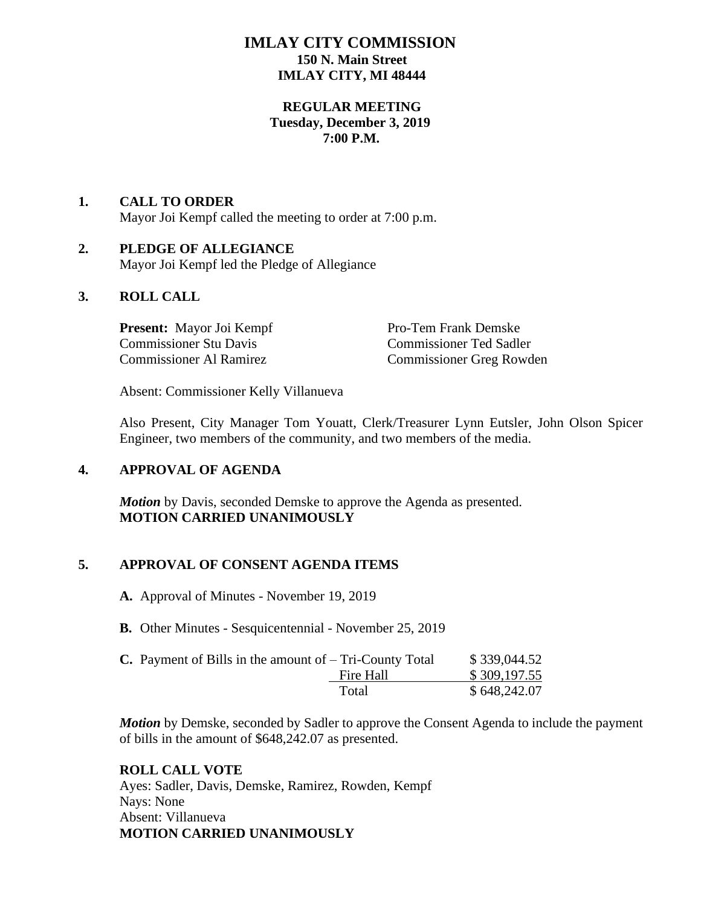# **IMLAY CITY COMMISSION 150 N. Main Street IMLAY CITY, MI 48444**

### **REGULAR MEETING Tuesday, December 3, 2019 7:00 P.M.**

# **1. CALL TO ORDER**  Mayor Joi Kempf called the meeting to order at 7:00 p.m.

#### **2. PLEDGE OF ALLEGIANCE** Mayor Joi Kempf led the Pledge of Allegiance

# **3. ROLL CALL**

**Present:** Mayor Joi Kempf Pro-Tem Frank Demske Commissioner Stu Davis Commissioner Ted Sadler

Commissioner Greg Rowden

Absent: Commissioner Kelly Villanueva

Also Present, City Manager Tom Youatt, Clerk/Treasurer Lynn Eutsler, John Olson Spicer Engineer, two members of the community, and two members of the media.

# **4. APPROVAL OF AGENDA**

*Motion* by Davis, seconded Demske to approve the Agenda as presented. **MOTION CARRIED UNANIMOUSLY**

# **5. APPROVAL OF CONSENT AGENDA ITEMS**

- **A.** Approval of Minutes November 19, 2019
- **B.** Other Minutes Sesquicentennial November 25, 2019

| <b>C.</b> Payment of Bills in the amount of $-$ Tri-County Total |           | \$339,044.52 |
|------------------------------------------------------------------|-----------|--------------|
|                                                                  | Fire Hall | \$309,197.55 |
|                                                                  | Total     | \$648,242.07 |

*Motion* by Demske, seconded by Sadler to approve the Consent Agenda to include the payment of bills in the amount of \$648,242.07 as presented.

### **ROLL CALL VOTE**

Ayes: Sadler, Davis, Demske, Ramirez, Rowden, Kempf Nays: None Absent: Villanueva **MOTION CARRIED UNANIMOUSLY**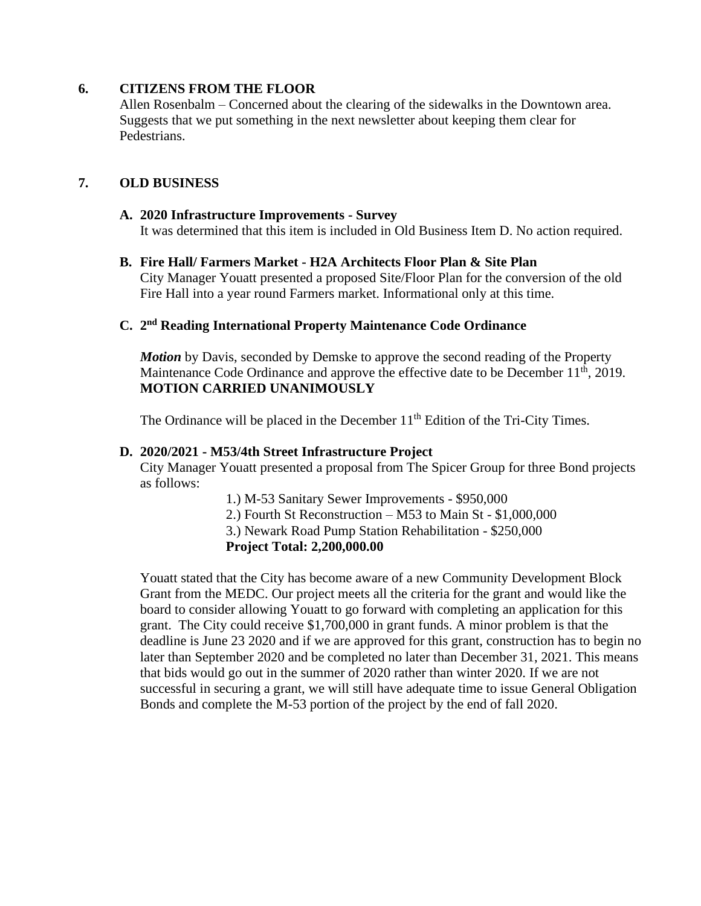### **6. CITIZENS FROM THE FLOOR**

Allen Rosenbalm – Concerned about the clearing of the sidewalks in the Downtown area. Suggests that we put something in the next newsletter about keeping them clear for Pedestrians.

### **7. OLD BUSINESS**

#### **A. 2020 Infrastructure Improvements - Survey** It was determined that this item is included in Old Business Item D. No action required.

**B. Fire Hall/ Farmers Market - H2A Architects Floor Plan & Site Plan** City Manager Youatt presented a proposed Site/Floor Plan for the conversion of the old Fire Hall into a year round Farmers market. Informational only at this time.

### **C. 2 nd Reading International Property Maintenance Code Ordinance**

*Motion* by Davis, seconded by Demske to approve the second reading of the Property Maintenance Code Ordinance and approve the effective date to be December 11<sup>th</sup>, 2019. **MOTION CARRIED UNANIMOUSLY**

The Ordinance will be placed in the December  $11<sup>th</sup>$  Edition of the Tri-City Times.

#### **D. 2020/2021 - M53/4th Street Infrastructure Project**

City Manager Youatt presented a proposal from The Spicer Group for three Bond projects as follows:

1.) M-53 Sanitary Sewer Improvements - \$950,000

2.) Fourth St Reconstruction – M53 to Main St - \$1,000,000

3.) Newark Road Pump Station Rehabilitation - \$250,000

#### **Project Total: 2,200,000.00**

Youatt stated that the City has become aware of a new Community Development Block Grant from the MEDC. Our project meets all the criteria for the grant and would like the board to consider allowing Youatt to go forward with completing an application for this grant. The City could receive \$1,700,000 in grant funds. A minor problem is that the deadline is June 23 2020 and if we are approved for this grant, construction has to begin no later than September 2020 and be completed no later than December 31, 2021. This means that bids would go out in the summer of 2020 rather than winter 2020. If we are not successful in securing a grant, we will still have adequate time to issue General Obligation Bonds and complete the M-53 portion of the project by the end of fall 2020.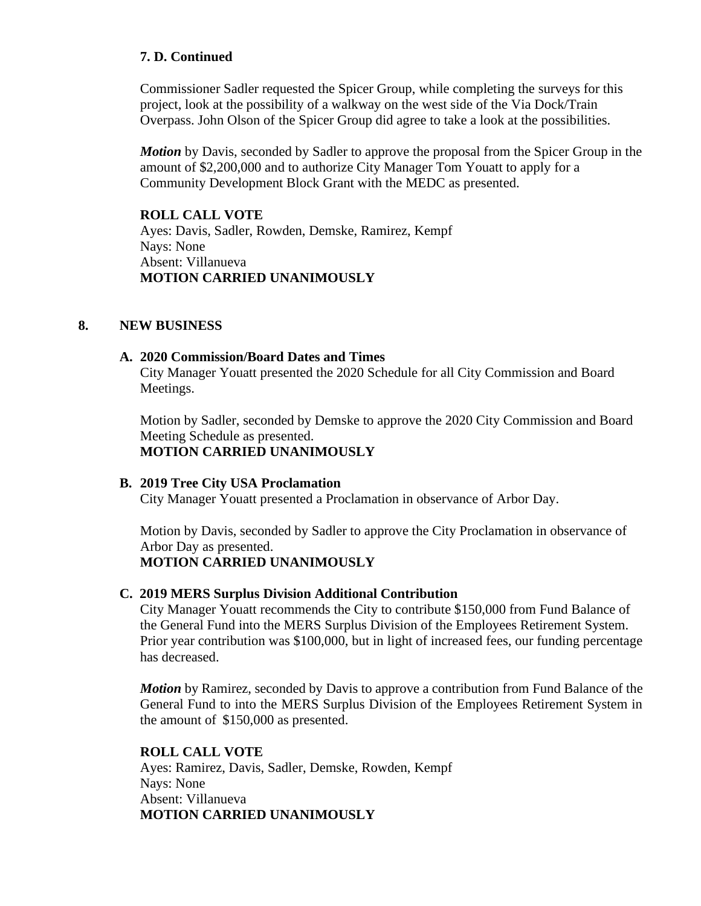# **7. D. Continued**

Commissioner Sadler requested the Spicer Group, while completing the surveys for this project, look at the possibility of a walkway on the west side of the Via Dock/Train Overpass. John Olson of the Spicer Group did agree to take a look at the possibilities.

*Motion* by Davis, seconded by Sadler to approve the proposal from the Spicer Group in the amount of \$2,200,000 and to authorize City Manager Tom Youatt to apply for a Community Development Block Grant with the MEDC as presented.

# **ROLL CALL VOTE**

Ayes: Davis, Sadler, Rowden, Demske, Ramirez, Kempf Nays: None Absent: Villanueva **MOTION CARRIED UNANIMOUSLY**

# **8. NEW BUSINESS**

### **A. 2020 Commission/Board Dates and Times**

City Manager Youatt presented the 2020 Schedule for all City Commission and Board Meetings.

Motion by Sadler, seconded by Demske to approve the 2020 City Commission and Board Meeting Schedule as presented.

**MOTION CARRIED UNANIMOUSLY**

### **B. 2019 Tree City USA Proclamation**

City Manager Youatt presented a Proclamation in observance of Arbor Day.

Motion by Davis, seconded by Sadler to approve the City Proclamation in observance of Arbor Day as presented.

**MOTION CARRIED UNANIMOUSLY**

### **C. 2019 MERS Surplus Division Additional Contribution**

City Manager Youatt recommends the City to contribute \$150,000 from Fund Balance of the General Fund into the MERS Surplus Division of the Employees Retirement System. Prior year contribution was \$100,000, but in light of increased fees, our funding percentage has decreased.

*Motion* by Ramirez, seconded by Davis to approve a contribution from Fund Balance of the General Fund to into the MERS Surplus Division of the Employees Retirement System in the amount of \$150,000 as presented.

### **ROLL CALL VOTE**

Ayes: Ramirez, Davis, Sadler, Demske, Rowden, Kempf Nays: None Absent: Villanueva **MOTION CARRIED UNANIMOUSLY**